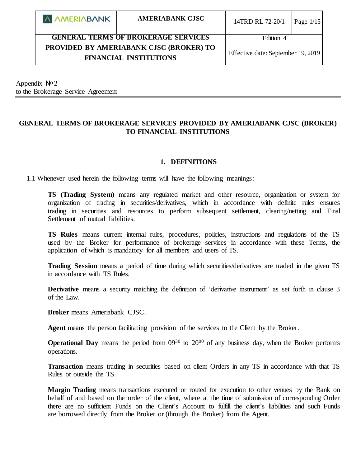| A AMERIABANK                               | <b>AMERIABANK CJSC</b> | 14TRD RL 72-20/1                   | Page $1/15$ |
|--------------------------------------------|------------------------|------------------------------------|-------------|
| <b>GENERAL TERMS OF BROKERAGE SERVICES</b> |                        | Edition 4                          |             |
| PROVIDED BY AMERIABANK CJSC (BROKER) TO    |                        | Effective date: September 19, 2019 |             |
| <b>FINANCIAL INSTITUTIONS</b>              |                        |                                    |             |

Appendix  $N<sub>2</sub>$ to the Brokerage Service Agreement

# **GENERAL TERMS OF BROKERAGE SERVICES PROVIDED BY AMERIABANK CJSC (BROKER) TO FINANCIAL INSTITUTIONS**

### **1. DEFINITIONS**

1.1 Whenever used herein the following terms will have the following meanings:

**TS (Trading System)** means any regulated market and other resource, organization or system for organization of trading in securities/derivatives, which in accordance with definite rules ensures trading in securities and resources to perform subsequent settlement, clearing/netting and Final Settlement of mutual liabilities.

**TS Rules** means current internal rules, procedures, policies, instructions and regulations of the TS used by the Broker for performance of brokerage services in accordance with these Terms, the application of which is mandatory for all members and users of TS.

**Trading Session** means a period of time during which securities/derivatives are traded in the given TS in accordance with TS Rules.

**Derivative** means a security matching the definition of 'derivative instrument' as set forth in clause 3 of the Law.

**Broker** means Ameriabank CJSC.

**Agent** means the person facilitating provision of the services to the Client by the Broker.

**Operational Day** means the period from  $0.0930$  to  $20^{00}$  of any business day, when the Broker performs operations.

**Transaction** means trading in securities based on client Orders in any TS in accordance with that TS Rules or outside the TS.

**Margin Trading** means transactions executed or routed for execution to other venues by the Bank on behalf of and based on the order of the client, where at the time of submission of corresponding Order there are no sufficient Funds on the Client's Account to fulfill the client's liabilities and such Funds are borrowed directly from the Broker or (through the Broker) from the Agent.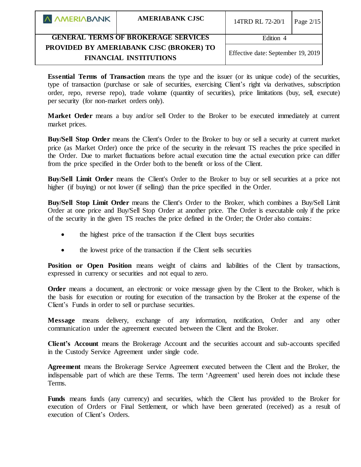| A AMERIABANK                                                             | <b>AMERIABANK CJSC</b> | 14TRD RL 72-20/1                   | Page $2/15$ |
|--------------------------------------------------------------------------|------------------------|------------------------------------|-------------|
| <b>GENERAL TERMS OF BROKERAGE SERVICES</b>                               |                        | Edition 4                          |             |
| PROVIDED BY AMERIABANK CJSC (BROKER) TO<br><b>FINANCIAL INSTITUTIONS</b> |                        | Effective date: September 19, 2019 |             |

**Essential Terms of Transaction** means the type and the issuer (or its unique code) of the securities, type of transaction (purchase or sale of securities, exercising Client's right via derivatives, subscription order, repo, reverse repo), trade volume (quantity of securities), price limitations (buy, sell, execute) per security (for non-market orders only).

**Market Order** means a buy and/or sell Order to the Broker to be executed immediately at current market prices.

**Buy/Sell Stop Order** means the Client's Order to the Broker to buy or sell a security at current market price (as Market Order) once the price of the security in the relevant TS reaches the price specified in the Order. Due to market fluctuations before actual execution time the actual execution price can differ from the price specified in the Order both to the benefit or loss of the Client.

**Buy/Sell Limit Order** means the Client's Order to the Broker to buy or sell securities at a price not higher (if buying) or not lower (if selling) than the price specified in the Order.

**Buy/Sell Stop Limit Order** means the Client's Order to the Broker, which combines a Buy/Sell Limit Order at one price and Buy/Sell Stop Order at another price. The Order is executable only if the price of the security in the given TS reaches the price defined in the Order; the Order also contains:

- the highest price of the transaction if the Client buys securities
- the lowest price of the transaction if the Client sells securities

Position or Open Position means weight of claims and liabilities of the Client by transactions, expressed in currency or securities and not equal to zero.

**Order** means a document, an electronic or voice message given by the Client to the Broker, which is the basis for execution or routing for execution of the transaction by the Broker at the expense of the Client's Funds in order to sell or purchase securities.

**Message** means delivery, exchange of any information, notification, Order and any other communication under the agreement executed between the Client and the Broker.

**Client's Account** means the Brokerage Account and the securities account and sub-accounts specified in the Custody Service Agreement under single code.

**Agreement** means the Brokerage Service Agreement executed between the Client and the Broker, the indispensable part of which are these Terms. The term 'Agreement' used herein does not include these Terms.

Funds means funds (any currency) and securities, which the Client has provided to the Broker for execution of Orders or Final Settlement, or which have been generated (received) as a result of execution of Client's Orders.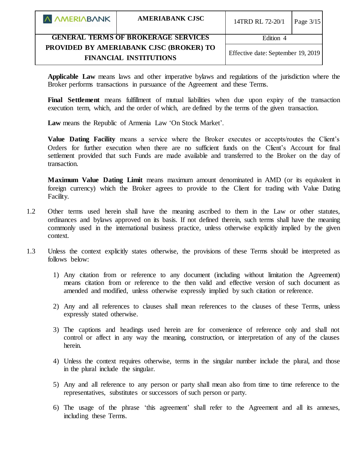| A AMERIABANK                               | <b>AMERIABANK CJSC</b>                                                          | 14TRD RL 72-20/1                   | Page $3/15$ |
|--------------------------------------------|---------------------------------------------------------------------------------|------------------------------------|-------------|
| <b>GENERAL TERMS OF BROKERAGE SERVICES</b> |                                                                                 | Edition 4                          |             |
|                                            | <b>PROVIDED BY AMERIABANK CJSC (BROKER) TO</b><br><b>FINANCIAL INSTITUTIONS</b> | Effective date: September 19, 2019 |             |

**Applicable Law** means laws and other imperative bylaws and regulations of the jurisdiction where the Broker performs transactions in pursuance of the Agreement and these Terms.

**Final Settlement** means fulfillment of mutual liabilities when due upon expiry of the transaction execution term, which, and the order of which, are defined by the terms of the given transaction.

Law means the Republic of Armenia Law 'On Stock Market'.

**Value Dating Facility** means a service where the Broker executes or accepts/routes the Client's Orders for further execution when there are no sufficient funds on the Client's Account for final settlement provided that such Funds are made available and transferred to the Broker on the day of transaction.

**Maximum Value Dating Limit** means maximum amount denominated in AMD (or its equivalent in foreign currency) which the Broker agrees to provide to the Client for trading with Value Dating Facility.

- 1.2 Other terms used herein shall have the meaning ascribed to them in the Law or other statutes, ordinances and bylaws approved on its basis. If not defined therein, such terms shall have the meaning commonly used in the international business practice, unless otherwise explicitly implied by the given context.
- 1.3 Unless the context explicitly states otherwise, the provisions of these Terms should be interpreted as follows below:
	- 1) Any citation from or reference to any document (including without limitation the Agreement) means citation from or reference to the then valid and effective version of such document as amended and modified, unless otherwise expressly implied by such citation or reference.
	- 2) Any and all references to clauses shall mean references to the clauses of these Terms, unless expressly stated otherwise.
	- 3) The captions and headings used herein are for convenience of reference only and shall not control or affect in any way the meaning, construction, or interpretation of any of the clauses herein.
	- 4) Unless the context requires otherwise, terms in the singular number include the plural, and those in the plural include the singular.
	- 5) Any and all reference to any person or party shall mean also from time to time reference to the representatives, substitutes or successors of such person or party.
	- 6) The usage of the phrase 'this agreement' shall refer to the Agreement and all its annexes, including these Terms.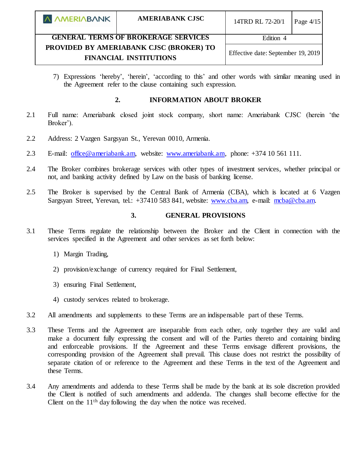| A AMERIABANK                               | <b>AMERIABANK CJSC</b>                                                                                         | 14TRD RL 72-20/1 | Page $4/15$ |
|--------------------------------------------|----------------------------------------------------------------------------------------------------------------|------------------|-------------|
| <b>GENERAL TERMS OF BROKERAGE SERVICES</b> |                                                                                                                | Edition 4        |             |
|                                            | PROVIDED BY AMERIABANK CJSC (BROKER) TO<br>Effective date: September 19, 2019<br><b>FINANCIAL INSTITUTIONS</b> |                  |             |

7) Expressions 'hereby', 'herein', 'according to this' and other words with similar meaning used in the Agreement refer to the clause containing such expression.

### **2. INFORMATION ABOUT BROKER**

- 2.1 Full name: Ameriabank closed joint stock company, short name: Ameriabank CJSC (herein 'the Broker').
- 2.2 Address: 2 Vazgen Sargsyan St., Yerevan 0010, Armenia.
- 2.3 E-mail: [office@ameriabank.am,](mailto:office@ameriabank.am) website: [www.ameriabank.am,](http://www.ameriabank.am/) phone: +374 10 561 111.
- 2.4 The Broker combines brokerage services with other types of investment services, whether principal or not, and banking activity defined by Law on the basis of banking license.
- 2.5 The Broker is supervised by the Central Bank of Armenia (CBA), which is located at 6 Vazgen Sargsyan Street, Yerevan, tel.: +37410 583 841, website: [www.cba.am,](http://www.cba.am/) e-mail: [mcba@cba.am.](mailto:mcba@cba.am)

#### **3. GENERAL PROVISIONS**

- 3.1 These Terms regulate the relationship between the Broker and the Client in connection with the services specified in the Agreement and other services as set forth below:
	- 1) Margin Trading,
	- 2) provision/exchange of currency required for Final Settlement,
	- 3) ensuring Final Settlement,
	- 4) custody services related to brokerage.
- 3.2 All amendments and supplements to these Terms are an indispensable part of these Terms.
- 3.3 These Terms and the Agreement are inseparable from each other, only together they are valid and make a document fully expressing the consent and will of the Parties thereto and containing binding and enforceable provisions. If the Agreement and these Terms envisage different provisions, the corresponding provision of the Agreement shall prevail. This clause does not restrict the possibility of separate citation of or reference to the Agreement and these Terms in the text of the Agreement and these Terms.
- 3.4 Any amendments and addenda to these Terms shall be made by the bank at its sole discretion provided the Client is notified of such amendments and addenda. The changes shall become effective for the Client on the  $11<sup>th</sup>$  day following the day when the notice was received.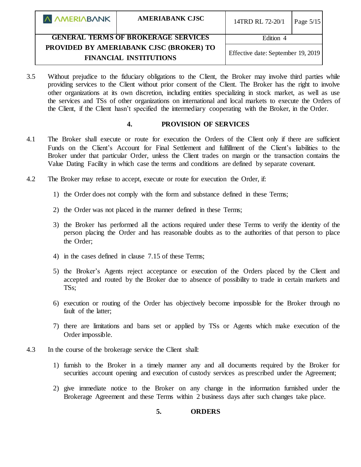| <b>A AMERIABANK</b>                        | <b>AMERIABANK CJSC</b>                                                   | 14TRD RL 72-20/1                   | Page $5/15$ |
|--------------------------------------------|--------------------------------------------------------------------------|------------------------------------|-------------|
| <b>GENERAL TERMS OF BROKERAGE SERVICES</b> |                                                                          | Edition 4                          |             |
|                                            | PROVIDED BY AMERIABANK CJSC (BROKER) TO<br><b>FINANCIAL INSTITUTIONS</b> | Effective date: September 19, 2019 |             |

3.5 Without prejudice to the fiduciary obligations to the Client, the Broker may involve third parties while providing services to the Client without prior consent of the Client. The Broker has the right to involve other organizations at its own discretion, including entities specializing in stock market, as well as use the services and TSs of other organizations on international and local markets to execute the Orders of the Client, if the Client hasn't specified the intermediary cooperating with the Broker, in the Order.

#### **4. PROVISION OF SERVICES**

- 4.1 The Broker shall execute or route for execution the Orders of the Client only if there are sufficient Funds on the Client's Account for Final Settlement and fulfillment of the Client's liabilities to the Broker under that particular Order, unless the Client trades on margin or the transaction contains the Value Dating Facility in which case the terms and conditions are defined by separate covenant.
- 4.2 The Broker may refuse to accept, execute or route for execution the Order, if:
	- 1) the Order does not comply with the form and substance defined in these Terms;
	- 2) the Order was not placed in the manner defined in these Terms;
	- 3) the Broker has performed all the actions required under these Terms to verify the identity of the person placing the Order and has reasonable doubts as to the authorities of that person to place the Order;
	- 4) in the cases defined in clause 7.15 of these Terms;
	- 5) the Broker's Agents reject acceptance or execution of the Orders placed by the Client and accepted and routed by the Broker due to absence of possibility to trade in certain markets and TSs;
	- 6) execution or routing of the Order has objectively become impossible for the Broker through no fault of the latter;
	- 7) there are limitations and bans set or applied by TSs or Agents which make execution of the Order impossible.
- 4.3 In the course of the brokerage service the Client shall:
	- 1) furnish to the Broker in a timely manner any and all documents required by the Broker for securities account opening and execution of custody services as prescribed under the Agreement;
	- 2) give immediate notice to the Broker on any change in the information furnished under the Brokerage Agreement and these Terms within 2 business days after such changes take place.

# **5. ORDERS**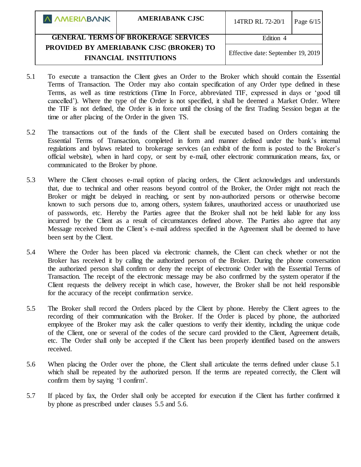| <b>A AMERIABANK</b>                        | <b>AMERIABANK CJSC</b>                                                   | 14TRD RL 72-20/1                   | Page $6/15$ |
|--------------------------------------------|--------------------------------------------------------------------------|------------------------------------|-------------|
| <b>GENERAL TERMS OF BROKERAGE SERVICES</b> |                                                                          | Edition 4                          |             |
|                                            | PROVIDED BY AMERIABANK CJSC (BROKER) TO<br><b>FINANCIAL INSTITUTIONS</b> | Effective date: September 19, 2019 |             |

- 5.1 To execute a transaction the Client gives an Order to the Broker which should contain the Essential Terms of Transaction. The Order may also contain specification of any Order type defined in these Terms, as well as time restrictions (Time In Force, abbreviated TIF, expressed in days or 'good till cancelled'). Where the type of the Order is not specified, it shall be deemed a Market Order. Where the TIF is not defined, the Order is in force until the closing of the first Trading Session begun at the time or after placing of the Order in the given TS.
- 5.2 The transactions out of the funds of the Client shall be executed based on Orders containing the Essential Terms of Transaction, completed in form and manner defined under the bank's internal regulations and bylaws related to brokerage services (an exhibit of the form is posted to the Broker's official website), when in hard copy, or sent by e-mail, other electronic communication means, fax, or communicated to the Broker by phone.
- 5.3 Where the Client chooses e-mail option of placing orders, the Client acknowledges and understands that, due to technical and other reasons beyond control of the Broker, the Order might not reach the Broker or might be delayed in reaching, or sent by non-authorized persons or otherwise become known to such persons due to, among others, system failures, unauthorized access or unauthorized use of passwords, etc. Hereby the Parties agree that the Broker shall not be held liable for any loss incurred by the Client as a result of circumstances defined above. The Parties also agree that any Message received from the Client's e-mail address specified in the Agreement shall be deemed to have been sent by the Client.
- 5.4 Where the Order has been placed via electronic channels, the Client can check whether or not the Broker has received it by calling the authorized person of the Broker. During the phone conversation the authorized person shall confirm or deny the receipt of electronic Order with the Essential Terms of Transaction. The receipt of the electronic message may be also confirmed by the system operator if the Client requests the delivery receipt in which case, however, the Broker shall be not held responsible for the accuracy of the receipt confirmation service.
- 5.5 The Broker shall record the Orders placed by the Client by phone. Hereby the Client agrees to the recording of their communication with the Broker. If the Order is placed by phone, the authorized employee of the Broker may ask the caller questions to verify their identity, including the unique code of the Client, one or several of the codes of the secure card provided to the Client, Agreement details, etc. The Order shall only be accepted if the Client has been properly identified based on the answers received.
- 5.6 When placing the Order over the phone, the Client shall articulate the terms defined under clause 5.1 which shall be repeated by the authorized person. If the terms are repeated correctly, the Client will confirm them by saying 'I confirm'.
- 5.7 If placed by fax, the Order shall only be accepted for execution if the Client has further confirmed it by phone as prescribed under clauses 5.5 and 5.6.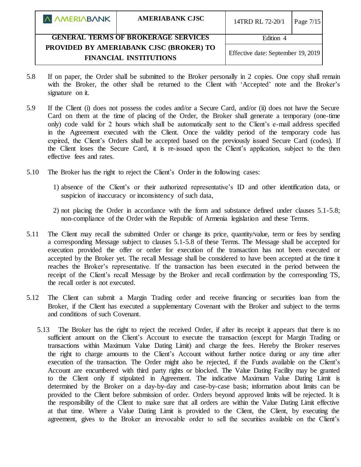| <b>A AMERIABANK</b>                                                      | <b>AMERIABANK CJSC</b> | 14TRD RL 72-20/1                   | Page 7/15 |
|--------------------------------------------------------------------------|------------------------|------------------------------------|-----------|
| <b>GENERAL TERMS OF BROKERAGE SERVICES</b>                               |                        | Edition 4                          |           |
| PROVIDED BY AMERIABANK CJSC (BROKER) TO<br><b>FINANCIAL INSTITUTIONS</b> |                        | Effective date: September 19, 2019 |           |

- 5.8 If on paper, the Order shall be submitted to the Broker personally in 2 copies. One copy shall remain with the Broker, the other shall be returned to the Client with 'Accepted' note and the Broker's signature on it.
- 5.9 If the Client (i) does not possess the codes and/or a Secure Card, and/or (ii) does not have the Secure Card on them at the time of placing of the Order, the Broker shall generate a temporary (one-time only) code valid for 2 hours which shall be automatically sent to the Client's e-mail address specified in the Agreement executed with the Client. Once the validity period of the temporary code has expired, the Client's Orders shall be accepted based on the previously issued Secure Card (codes). If the Client loses the Secure Card, it is re-issued upon the Client's application, subject to the then effective fees and rates.
- 5.10 The Broker has the right to reject the Client's Order in the following cases:
	- 1) absence of the Client's or their authorized representative's ID and other identification data, or suspicion of inaccuracy or inconsistency of such data,
	- 2) not placing the Order in accordance with the form and substance defined under clauses 5.1-5.8; non-compliance of the Order with the Republic of Armenia legislation and these Terms.
- 5.11 The Client may recall the submitted Order or change its price, quantity/value, term or fees by sending a corresponding Message subject to clauses 5.1-5.8 of these Terms. The Message shall be accepted for execution provided the offer or order for execution of the transaction has not been executed or accepted by the Broker yet. The recall Message shall be considered to have been accepted at the time it reaches the Broker's representative. If the transaction has been executed in the period between the receipt of the Client's recall Message by the Broker and recall confirmation by the corresponding TS, the recall order is not executed.
- 5.12 The Client can submit a Margin Trading order and receive financing or securities loan from the Broker, if the Client has executed a supplementary Covenant with the Broker and subject to the terms and conditions of such Covenant.
	- 5.13 The Broker has the right to reject the received Order, if after its receipt it appears that there is no sufficient amount on the Client's Account to execute the transaction (except for Margin Trading or transactions within Maximum Value Dating Limit) and charge the fees. Hereby the Broker reserves the right to charge amounts to the Client's Account without further notice during or any time after execution of the transaction. The Order might also be rejected, if the Funds available on the Client's Account are encumbered with third party rights or blocked. The Value Dating Facility may be granted to the Client only if stipulated in Agreement. The indicative Maximum Value Dating Limit is determined by the Broker on a day-by-day and case-by-case basis; information about limits can be provided to the Client before submission of order. Orders beyond approved limits will be rejected. It is the responsibility of the Client to make sure that all orders are within the Value Dating Limit effective at that time. Where a Value Dating Limit is provided to the Client, the Client, by executing the agreement, gives to the Broker an irrevocable order to sell the securities available on the Client's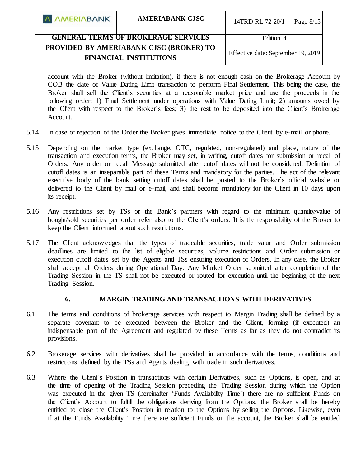| A AMERIABANK                               | <b>AMERIABANK CJSC</b>                                                   | 14TRD RL 72-20/1                   | Page $8/15$ |
|--------------------------------------------|--------------------------------------------------------------------------|------------------------------------|-------------|
| <b>GENERAL TERMS OF BROKERAGE SERVICES</b> |                                                                          | Edition 4                          |             |
|                                            | PROVIDED BY AMERIABANK CJSC (BROKER) TO<br><b>FINANCIAL INSTITUTIONS</b> | Effective date: September 19, 2019 |             |

account with the Broker (without limitation), if there is not enough cash on the Brokerage Account by COB the date of Value Dating Limit transaction to perform Final Settlement. This being the case, the Broker shall sell the Client's securities at a reasonable market price and use the proceeds in the following order: 1) Final Settlement under operations with Value Dating Limit; 2) amounts owed by the Client with respect to the Broker's fees; 3) the rest to be deposited into the Client's Brokerage Account.

- 5.14 In case of rejection of the Order the Broker gives immediate notice to the Client by e-mail or phone.
- 5.15 Depending on the market type (exchange, OTC, regulated, non-regulated) and place, nature of the transaction and execution terms, the Broker may set, in writing, cutoff dates for submission or recall of Orders. Any order or recall Message submitted after cutoff dates will not be considered. Definition of cutoff dates is an inseparable part of these Terms and mandatory for the parties. The act of the relevant executive body of the bank setting cutoff dates shall be posted to the Broker's official website or delivered to the Client by mail or e-mail, and shall become mandatory for the Client in 10 days upon its receipt.
- 5.16 Any restrictions set by TSs or the Bank's partners with regard to the minimum quantity/value of bought/sold securities per order refer also to the Client's orders. It is the responsibility of the Broker to keep the Client informed about such restrictions.
- 5.17 The Client acknowledges that the types of tradeable securities, trade value and Order submission deadlines are limited to the list of eligible securities, volume restrictions and Order submission or execution cutoff dates set by the Agents and TSs ensuring execution of Orders. In any case, the Broker shall accept all Orders during Operational Day. Any Market Order submitted after completion of the Trading Session in the TS shall not be executed or routed for execution until the beginning of the next Trading Session.

#### **6. MARGIN TRADING AND TRANSACTIONS WITH DERIVATIVES**

- 6.1 The terms and conditions of brokerage services with respect to Margin Trading shall be defined by a separate covenant to be executed between the Broker and the Client, forming (if executed) an indispensable part of the Agreement and regulated by these Terms as far as they do not contradict its provisions.
- 6.2 Brokerage services with derivatives shall be provided in accordance with the terms, conditions and restrictions defined by the TSs and Agents dealing with trade in such derivatives.
- 6.3 Where the Client's Position in transactions with certain Derivatives, such as Options, is open, and at the time of opening of the Trading Session preceding the Trading Session during which the Option was executed in the given TS (hereinafter 'Funds Availability Time') there are no sufficient Funds on the Client's Account to fulfill the obligations deriving from the Options, the Broker shall be hereby entitled to close the Client's Position in relation to the Options by selling the Options. Likewise, even if at the Funds Availability Time there are sufficient Funds on the account, the Broker shall be entitled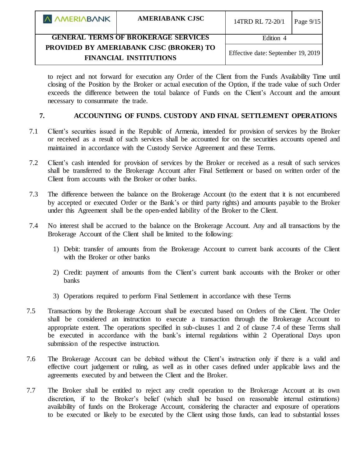| <b>A AMERIABANK</b>                                                      | <b>AMERIABANK CJSC</b> | 14TRD RL 72-20/1                   | Page $9/15$ |
|--------------------------------------------------------------------------|------------------------|------------------------------------|-------------|
| <b>GENERAL TERMS OF BROKERAGE SERVICES</b>                               |                        | Edition 4                          |             |
| PROVIDED BY AMERIABANK CJSC (BROKER) TO<br><b>FINANCIAL INSTITUTIONS</b> |                        | Effective date: September 19, 2019 |             |

to reject and not forward for execution any Order of the Client from the Funds Availability Time until closing of the Position by the Broker or actual execution of the Option, if the trade value of such Order exceeds the difference between the total balance of Funds on the Client's Account and the amount necessary to consummate the trade.

## **7. ACCOUNTING OF FUNDS. CUSTODY AND FINAL SETTLEMENT OPERATIONS**

- 7.1 Client's securities issued in the Republic of Armenia, intended for provision of services by the Broker or received as a result of such services shall be accounted for on the securities accounts opened and maintained in accordance with the Custody Service Agreement and these Terms.
- 7.2 Client's cash intended for provision of services by the Broker or received as a result of such services shall be transferred to the Brokerage Account after Final Settlement or based on written order of the Client from accounts with the Broker or other banks.
- 7.3 The difference between the balance on the Brokerage Account (to the extent that it is not encumbered by accepted or executed Order or the Bank's or third party rights) and amounts payable to the Broker under this Agreement shall be the open-ended liability of the Broker to the Client.
- 7.4 No interest shall be accrued to the balance on the Brokerage Account. Any and all transactions by the Brokerage Account of the Client shall be limited to the following:
	- 1) Debit: transfer of amounts from the Brokerage Account to current bank accounts of the Client with the Broker or other banks
	- 2) Credit: payment of amounts from the Client's current bank accounts with the Broker or other banks
	- 3) Operations required to perform Final Settlement in accordance with these Terms
- 7.5 Transactions by the Brokerage Account shall be executed based on Orders of the Client. The Order shall be considered an instruction to execute a transaction through the Brokerage Account to appropriate extent. The operations specified in sub-clauses 1 and 2 of clause 7.4 of these Terms shall be executed in accordance with the bank's internal regulations within 2 Operational Days upon submission of the respective instruction.
- 7.6 The Brokerage Account can be debited without the Client's instruction only if there is a valid and effective court judgement or ruling, as well as in other cases defined under applicable laws and the agreements executed by and between the Client and the Broker.
- 7.7 The Broker shall be entitled to reject any credit operation to the Brokerage Account at its own discretion, if to the Broker's belief (which shall be based on reasonable internal estimations) availability of funds on the Brokerage Account, considering the character and exposure of operations to be executed or likely to be executed by the Client using those funds, can lead to substantial losses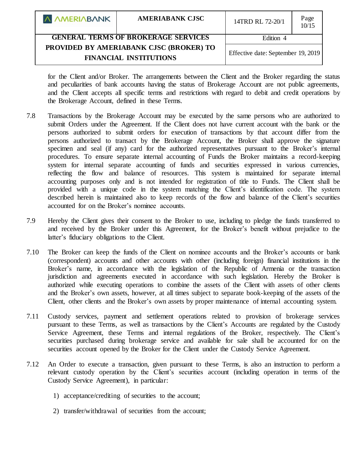| <b>A AMERIABANK</b>                        | <b>AMERIABANK CJSC</b>                                                   | 14TRD RL 72-20/1                   | Page<br>10/15 |
|--------------------------------------------|--------------------------------------------------------------------------|------------------------------------|---------------|
| <b>GENERAL TERMS OF BROKERAGE SERVICES</b> |                                                                          | Edition 4                          |               |
|                                            | PROVIDED BY AMERIABANK CJSC (BROKER) TO<br><b>FINANCIAL INSTITUTIONS</b> | Effective date: September 19, 2019 |               |

for the Client and/or Broker. The arrangements between the Client and the Broker regarding the status and peculiarities of bank accounts having the status of Brokerage Account are not public agreements, and the Client accepts all specific terms and restrictions with regard to debit and credit operations by the Brokerage Account, defined in these Terms.

- 7.8 Transactions by the Brokerage Account may be executed by the same persons who are authorized to submit Orders under the Agreement. If the Client does not have current account with the bank or the persons authorized to submit orders for execution of transactions by that account differ from the persons authorized to transact by the Brokerage Account, the Broker shall approve the signature specimen and seal (if any) card for the authorized representatives pursuant to the Broker's internal procedures. To ensure separate internal accounting of Funds the Broker maintains a record-keeping system for internal separate accounting of funds and securities expressed in various currencies, reflecting the flow and balance of resources. This system is maintained for separate internal accounting purposes only and is not intended for registration of title to Funds. The Client shall be provided with a unique code in the system matching the Client's identification code. The system described herein is maintained also to keep records of the flow and balance of the Client's securities accounted for on the Broker's nominee accounts.
- 7.9 Hereby the Client gives their consent to the Broker to use, including to pledge the funds transferred to and received by the Broker under this Agreement, for the Broker's benefit without prejudice to the latter's fiduciary obligations to the Client.
- 7.10 The Broker can keep the funds of the Client on nominee accounts and the Broker's accounts or bank (correspondent) accounts and other accounts with other (including foreign) financial institutions in the Broker's name, in accordance with the legislation of the Republic of Armenia or the transaction jurisdiction and agreements executed in accordance with such legislation. Hereby the Broker is authorized while executing operations to combine the assets of the Client with assets of other clients and the Broker's own assets, however, at all times subject to separate book-keeping of the assets of the Client, other clients and the Broker's own assets by proper maintenance of internal accounting system.
- 7.11 Custody services, payment and settlement operations related to provision of brokerage services pursuant to these Terms, as well as transactions by the Client's Accounts are regulated by the Custody Service Agreement, these Terms and internal regulations of the Broker, respectively. The Client's securities purchased during brokerage service and available for sale shall be accounted for on the securities account opened by the Broker for the Client under the Custody Service Agreement.
- 7.12 An Order to execute a transaction, given pursuant to these Terms, is also an instruction to perform a relevant custody operation by the Client's securities account (including operation in terms of the Custody Service Agreement), in particular:
	- 1) acceptance/crediting of securities to the account;
	- 2) transfer/withdrawal of securities from the account;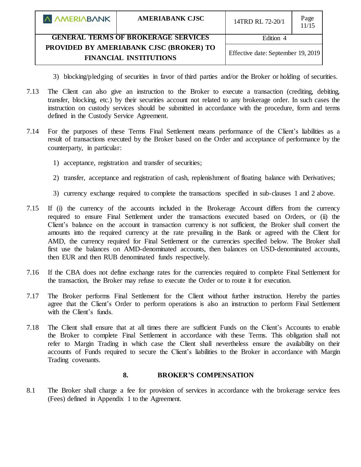| A AMERIABANK                               | <b>AMERIABANK CJSC</b>                                                   | 14TRD RL 72-20/1                   | Page<br>11/15 |
|--------------------------------------------|--------------------------------------------------------------------------|------------------------------------|---------------|
| <b>GENERAL TERMS OF BROKERAGE SERVICES</b> |                                                                          | Edition 4                          |               |
|                                            | PROVIDED BY AMERIABANK CJSC (BROKER) TO<br><b>FINANCIAL INSTITUTIONS</b> | Effective date: September 19, 2019 |               |

- 3) blocking/pledging of securities in favor of third parties and/or the Broker or holding of securities.
- 7.13 The Client can also give an instruction to the Broker to execute a transaction (crediting, debiting, transfer, blocking, etc.) by their securities account not related to any brokerage order. In such cases the instruction on custody services should be submitted in accordance with the procedure, form and terms defined in the Custody Service Agreement.
- 7.14 For the purposes of these Terms Final Settlement means performance of the Client's liabilities as a result of transactions executed by the Broker based on the Order and acceptance of performance by the counterparty, in particular:
	- 1) acceptance, registration and transfer of securities;
	- 2) transfer, acceptance and registration of cash, replenishment of floating balance with Derivatives;
	- 3) currency exchange required to complete the transactions specified in sub-clauses 1 and 2 above.
- 7.15 If (i) the currency of the accounts included in the Brokerage Account differs from the currency required to ensure Final Settlement under the transactions executed based on Orders, or (ii) the Client's balance on the account in transaction currency is not sufficient, the Broker shall convert the amounts into the required currency at the rate prevailing in the Bank or agreed with the Client for AMD, the currency required for Final Settlement or the currencies specified below. The Broker shall first use the balances on AMD-denominated accounts, then balances on USD-denominated accounts, then EUR and then RUB denominated funds respectively.
- 7.16 If the CBA does not define exchange rates for the currencies required to complete Final Settlement for the transaction, the Broker may refuse to execute the Order or to route it for execution.
- 7.17 The Broker performs Final Settlement for the Client without further instruction. Hereby the parties agree that the Client's Order to perform operations is also an instruction to perform Final Settlement with the Client's funds.
- 7.18 The Client shall ensure that at all times there are sufficient Funds on the Client's Accounts to enable the Broker to complete Final Settlement in accordance with these Terms. This obligation shall not refer to Margin Trading in which case the Client shall nevertheless ensure the availability on their accounts of Funds required to secure the Client's liabilities to the Broker in accordance with Margin Trading covenants.

### **8. BROKER'S COMPENSATION**

8.1 The Broker shall charge a fee for provision of services in accordance with the brokerage service fees (Fees) defined in Appendix 1 to the Agreement.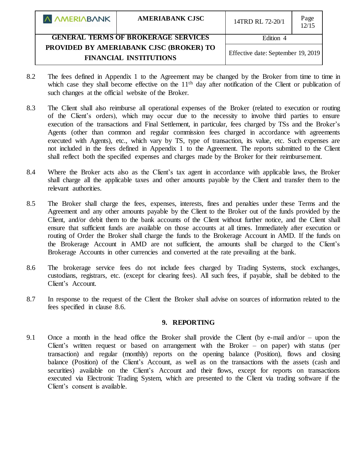| A AMERIABANK                               | <b>AMERIABANK CJSC</b>                                                   | 14TRD RL 72-20/1                   | Page<br>12/15 |
|--------------------------------------------|--------------------------------------------------------------------------|------------------------------------|---------------|
| <b>GENERAL TERMS OF BROKERAGE SERVICES</b> |                                                                          | Edition 4                          |               |
|                                            | PROVIDED BY AMERIABANK CJSC (BROKER) TO<br><b>FINANCIAL INSTITUTIONS</b> | Effective date: September 19, 2019 |               |

- 8.2 The fees defined in Appendix 1 to the Agreement may be changed by the Broker from time to time in which case they shall become effective on the 11<sup>th</sup> day after notification of the Client or publication of such changes at the official website of the Broker.
- 8.3 The Client shall also reimburse all operational expenses of the Broker (related to execution or routing of the Client's orders), which may occur due to the necessity to involve third parties to ensure execution of the transactions and Final Settlement, in particular, fees charged by TSs and the Broker's Agents (other than common and regular commission fees charged in accordance with agreements executed with Agents), etc., which vary by TS, type of transaction, its value, etc. Such expenses are not included in the fees defined in Appendix 1 to the Agreement. The reports submitted to the Client shall reflect both the specified expenses and charges made by the Broker for their reimbursement.
- 8.4 Where the Broker acts also as the Client's tax agent in accordance with applicable laws, the Broker shall charge all the applicable taxes and other amounts payable by the Client and transfer them to the relevant authorities.
- 8.5 The Broker shall charge the fees, expenses, interests, fines and penalties under these Terms and the Agreement and any other amounts payable by the Client to the Broker out of the funds provided by the Client, and/or debit them to the bank accounts of the Client without further notice, and the Client shall ensure that sufficient funds are available on those accounts at all times. Immediately after execution or routing of Order the Broker shall charge the funds to the Brokerage Account in AMD. If the funds on the Brokerage Account in AMD are not sufficient, the amounts shall be charged to the Client's Brokerage Accounts in other currencies and converted at the rate prevailing at the bank.
- 8.6 The brokerage service fees do not include fees charged by Trading Systems, stock exchanges, custodians, registrars, etc. (except for clearing fees). All such fees, if payable, shall be debited to the Client's Account.
- 8.7 In response to the request of the Client the Broker shall advise on sources of information related to the fees specified in clause 8.6.

# **9. REPORTING**

9.1 Once a month in the head office the Broker shall provide the Client (by e-mail and/or – upon the Client's written request or based on arrangement with the Broker – on paper) with status (per transaction) and regular (monthly) reports on the opening balance (Position), flows and closing balance (Position) of the Client's Account, as well as on the transactions with the assets (cash and securities) available on the Client's Account and their flows, except for reports on transactions executed via Electronic Trading System, which are presented to the Client via trading software if the Client's consent is available.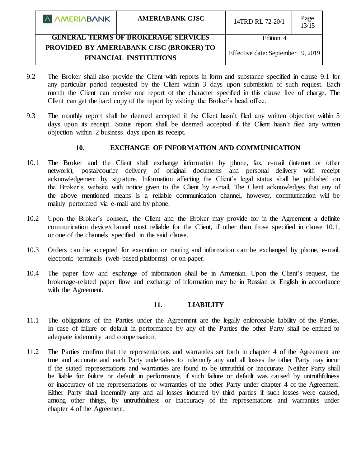| <b>A AMERIABANK</b>                                                      | <b>AMERIABANK CJSC</b> | 14TRD RL 72-20/1                   | Page<br>13/15 |
|--------------------------------------------------------------------------|------------------------|------------------------------------|---------------|
| <b>GENERAL TERMS OF BROKERAGE SERVICES</b>                               |                        | Edition 4                          |               |
| PROVIDED BY AMERIABANK CJSC (BROKER) TO<br><b>FINANCIAL INSTITUTIONS</b> |                        | Effective date: September 19, 2019 |               |

- 9.2 The Broker shall also provide the Client with reports in form and substance specified in clause 9.1 for any particular period requested by the Client within 3 days upon submission of such request. Each month the Client can receive one report of the character specified in this clause free of charge. The Client can get the hard copy of the report by visiting the Broker's head office.
- 9.3 The monthly report shall be deemed accepted if the Client hasn't filed any written objection within 5 days upon its receipt. Status report shall be deemed accepted if the Client hasn't filed any written objection within 2 business days upon its receipt.

# **10. EXCHANGE OF INFORMATION AND COMMUNICATION**

- 10.1 The Broker and the Client shall exchange information by phone, fax, e-mail (internet or other network), postal/courier delivery of original documents and personal delivery with receipt acknowledgement by signature. Information affecting the Client's legal status shall be published on the Broker's website with notice given to the Client by e-mail. The Client acknowledges that any of the above mentioned means is a reliable communication channel, however, communication will be mainly performed via e-mail and by phone.
- 10.2 Upon the Broker's consent, the Client and the Broker may provide for in the Agreement a definite communication device/channel most reliable for the Client, if other than those specified in clause 10.1, or one of the channels specified in the said clause.
- 10.3 Orders can be accepted for execution or routing and information can be exchanged by phone, e-mail, electronic terminals (web-based platforms) or on paper.
- 10.4 The paper flow and exchange of information shall be in Armenian. Upon the Client's request, the brokerage-related paper flow and exchange of information may be in Russian or English in accordance with the Agreement.

# **11. LIABILITY**

- 11.1 The obligations of the Parties under the Agreement are the legally enforceable liability of the Parties. In case of failure or default in performance by any of the Parties the other Party shall be entitled to adequate indemnity and compensation.
- 11.2 The Parties confirm that the representations and warranties set forth in chapter 4 of the Agreement are true and accurate and each Party undertakes to indemnify any and all losses the other Party may incur if the stated representations and warranties are found to be untruthful or inaccurate. Neither Party shall be liable for failure or default in performance, if such failure or default was caused by untruthfulness or inaccuracy of the representations or warranties of the other Party under chapter 4 of the Agreement. Either Party shall indemnify any and all losses incurred by third parties if such losses were caused, among other things, by untruthfulness or inaccuracy of the representations and warranties under chapter 4 of the Agreement.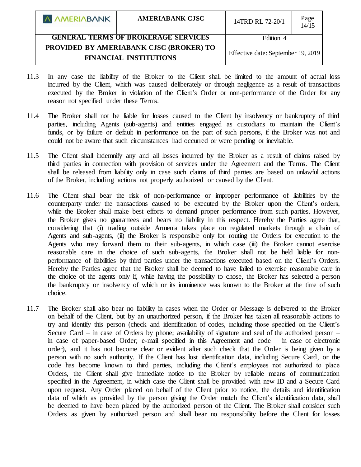| A AMERIABANK                               | <b>AMERIABANK CJSC</b>                                                                                         | 14TRD RL 72-20/1 | Page<br>14/15 |
|--------------------------------------------|----------------------------------------------------------------------------------------------------------------|------------------|---------------|
| <b>GENERAL TERMS OF BROKERAGE SERVICES</b> |                                                                                                                | Edition 4        |               |
|                                            | PROVIDED BY AMERIABANK CJSC (BROKER) TO<br>Effective date: September 19, 2019<br><b>FINANCIAL INSTITUTIONS</b> |                  |               |

- 11.3 In any case the liability of the Broker to the Client shall be limited to the amount of actual loss incurred by the Client, which was caused deliberately or through negligence as a result of transactions executed by the Broker in violation of the Client's Order or non-performance of the Order for any reason not specified under these Terms.
- 11.4 The Broker shall not be liable for losses caused to the Client by insolvency or bankruptcy of third parties, including Agents (sub-agents) and entities engaged as custodians to maintain the Client's funds, or by failure or default in performance on the part of such persons, if the Broker was not and could not be aware that such circumstances had occurred or were pending or inevitable.
- 11.5 The Client shall indemnify any and all losses incurred by the Broker as a result of claims raised by third parties in connection with provision of services under the Agreement and the Terms. The Client shall be released from liability only in case such claims of third parties are based on unlawful actions of the Broker, including actions not properly authorized or caused by the Client.
- 11.6 The Client shall bear the risk of non-performance or improper performance of liabilities by the counterparty under the transactions caused to be executed by the Broker upon the Client's orders, while the Broker shall make best efforts to demand proper performance from such parties. However, the Broker gives no guarantees and bears no liability in this respect. Hereby the Parties agree that, considering that (i) trading outside Armenia takes place on regulated markets through a chain of Agents and sub-agents, (ii) the Broker is responsible only for routing the Orders for execution to the Agents who may forward them to their sub-agents, in which case (iii) the Broker cannot exercise reasonable care in the choice of such sub-agents, the Broker shall not be held liable for nonperformance of liabilities by third parties under the transactions executed based on the Client's Orders. Hereby the Parties agree that the Broker shall be deemed to have failed to exercise reasonable care in the choice of the agents only if, while having the possibility to chose, the Broker has selected a person the bankruptcy or insolvency of which or its imminence was known to the Broker at the time of such choice.
- 11.7 The Broker shall also bear no liability in cases when the Order or Message is delivered to the Broker on behalf of the Client, but by an unauthorized person, if the Broker has taken all reasonable actions to try and identify this person (check and identification of codes, including those specified on the Client's Secure Card – in case of Orders by phone; availability of signature and seal of the authorized person – in case of paper-based Order; e-mail specified in this Agreement and code – in case of electronic order), and it has not become clear or evident after such check that the Order is being given by a person with no such authority. If the Client has lost identification data, including Secure Card, or the code has become known to third parties, including the Client's employees not authorized to place Orders, the Client shall give immediate notice to the Broker by reliable means of communication specified in the Agreement, in which case the Client shall be provided with new ID and a Secure Card upon request. Any Order placed on behalf of the Client prior to notice, the details and identification data of which as provided by the person giving the Order match the Client's identification data, shall be deemed to have been placed by the authorized person of the Client. The Broker shall consider such Orders as given by authorized person and shall bear no responsibility before the Client for losses